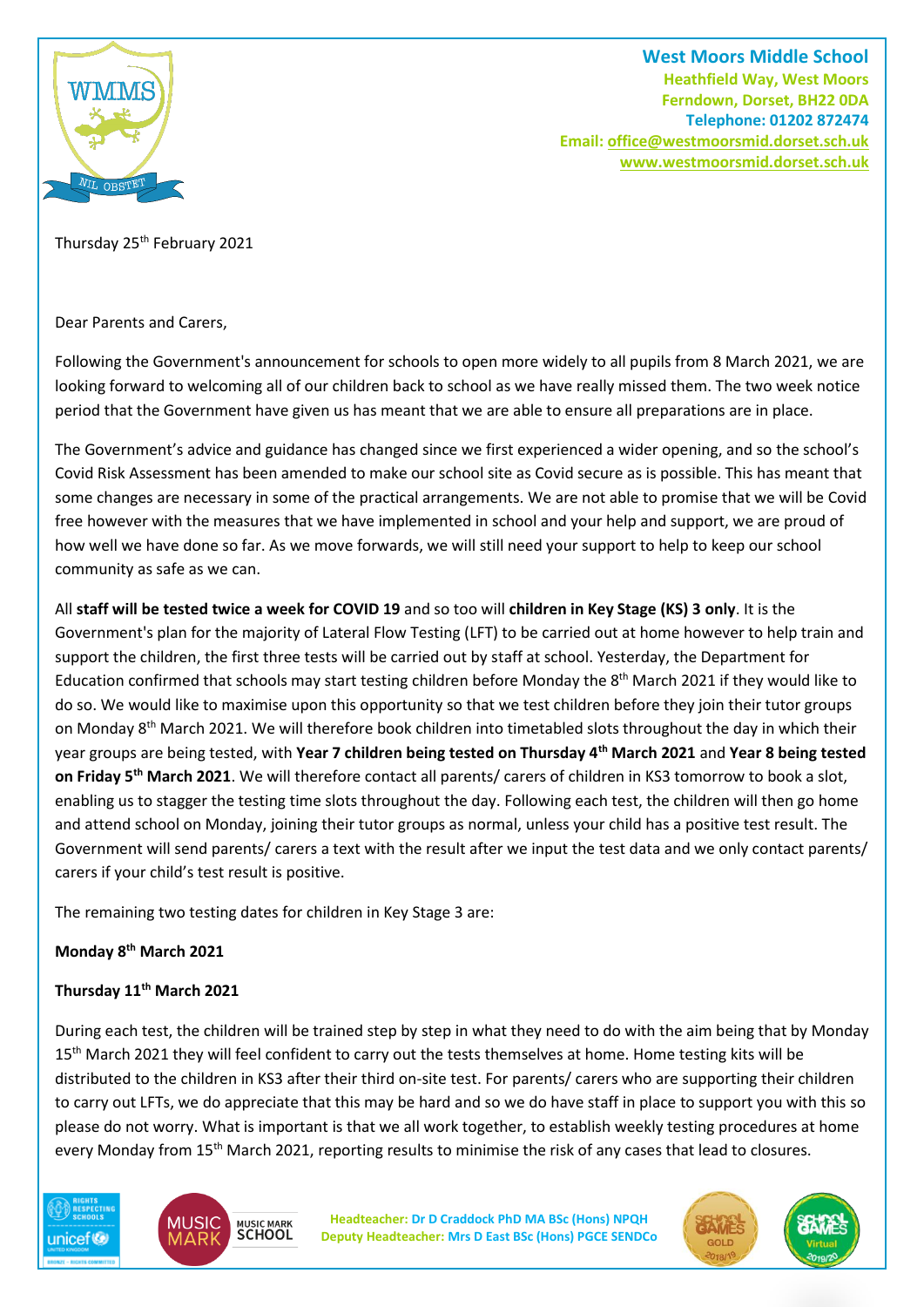

**West Moors Middle School Heathfield Way, West Moors Ferndown, Dorset, BH22 0DA Telephone: 01202 872474 Email[: office@westmoorsmid.dorset.sch.uk](mailto:office@westmoorsmid.dorset.sch.uk) www.westmoorsmid.dorset.sch.uk**

Thursday 25<sup>th</sup> February 2021

Dear Parents and Carers,

Following the Government's announcement for schools to open more widely to all pupils from 8 March 2021, we are looking forward to welcoming all of our children back to school as we have really missed them. The two week notice period that the Government have given us has meant that we are able to ensure all preparations are in place.

The Government's advice and guidance has changed since we first experienced a wider opening, and so the school's Covid Risk Assessment has been amended to make our school site as Covid secure as is possible. This has meant that some changes are necessary in some of the practical arrangements. We are not able to promise that we will be Covid free however with the measures that we have implemented in school and your help and support, we are proud of how well we have done so far. As we move forwards, we will still need your support to help to keep our school community as safe as we can.

All **staff will be tested twice a week for COVID 19** and so too will **children in Key Stage (KS) 3 only**. It is the Government's plan for the majority of Lateral Flow Testing (LFT) to be carried out at home however to help train and support the children, the first three tests will be carried out by staff at school. Yesterday, the Department for Education confirmed that schools may start testing children before Monday the 8th March 2021 if they would like to do so. We would like to maximise upon this opportunity so that we test children before they join their tutor groups on Monday 8<sup>th</sup> March 2021. We will therefore book children into timetabled slots throughout the day in which their year groups are being tested, with **Year 7 children being tested on Thursday 4th March 2021** and **Year 8 being tested on Friday 5th March 2021**. We will therefore contact all parents/ carers of children in KS3 tomorrow to book a slot, enabling us to stagger the testing time slots throughout the day. Following each test, the children will then go home and attend school on Monday, joining their tutor groups as normal, unless your child has a positive test result. The Government will send parents/ carers a text with the result after we input the test data and we only contact parents/ carers if your child's test result is positive.

The remaining two testing dates for children in Key Stage 3 are:

# **Monday 8th March 2021**

# **Thursday 11th March 2021**

During each test, the children will be trained step by step in what they need to do with the aim being that by Monday 15<sup>th</sup> March 2021 they will feel confident to carry out the tests themselves at home. Home testing kits will be distributed to the children in KS3 after their third on-site test. For parents/ carers who are supporting their children to carry out LFTs, we do appreciate that this may be hard and so we do have staff in place to support you with this so please do not worry. What is important is that we all work together, to establish weekly testing procedures at home every Monday from 15<sup>th</sup> March 2021, reporting results to minimise the risk of any cases that lead to closures.





**Headteacher: Dr D Craddock PhD MA BSc (Hons) NPQH Deputy Headteacher: Mrs D East BSc (Hons) PGCE SENDCo**

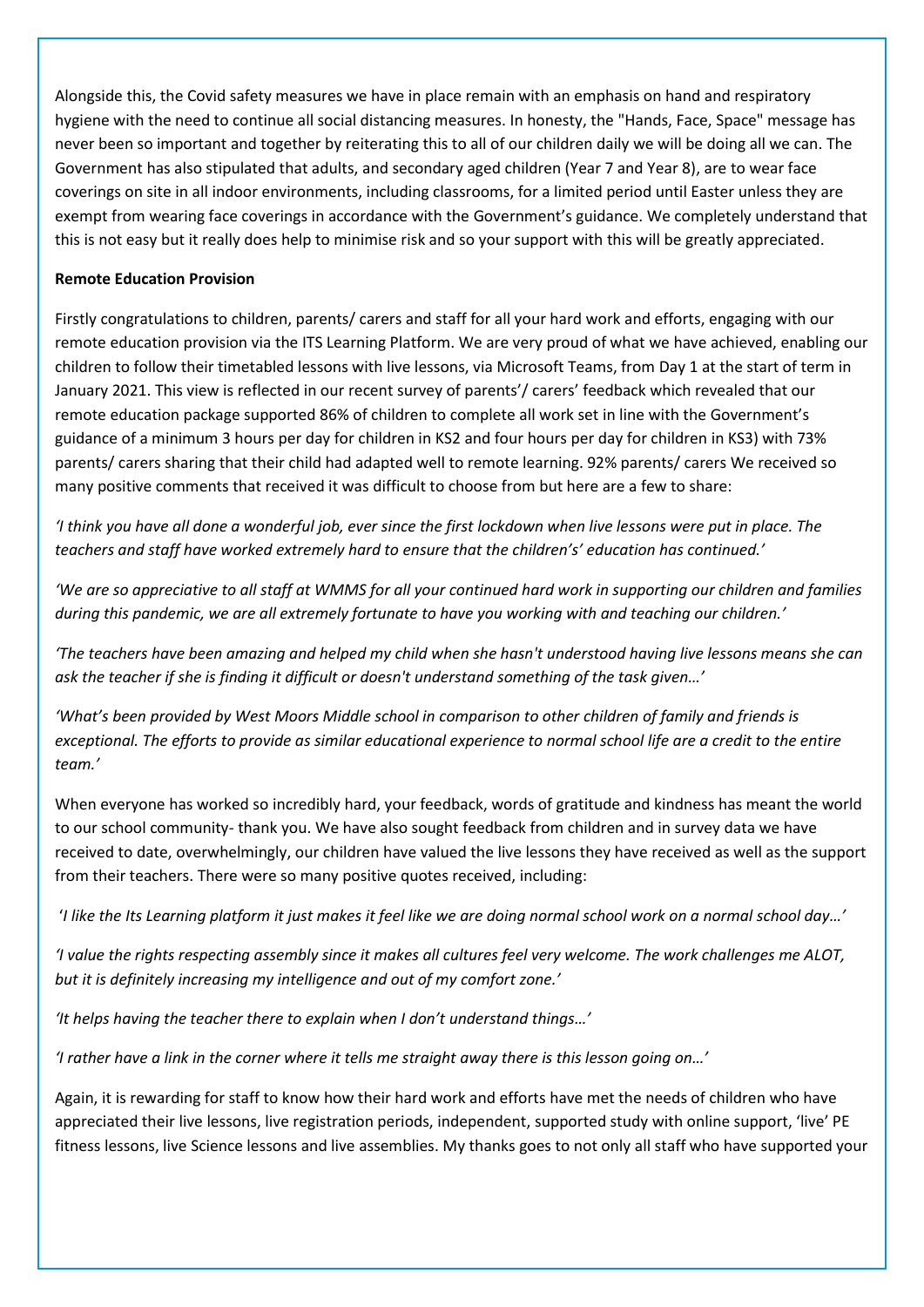Alongside this, the Covid safety measures we have in place remain with an emphasis on hand and respiratory hygiene with the need to continue all social distancing measures. In honesty, the "Hands, Face, Space" message has never been so important and together by reiterating this to all of our children daily we will be doing all we can. The Government has also stipulated that adults, and secondary aged children (Year 7 and Year 8), are to wear face coverings on site in all indoor environments, including classrooms, for a limited period until Easter unless they are exempt from wearing face coverings in accordance with the Government's guidance. We completely understand that this is not easy but it really does help to minimise risk and so your support with this will be greatly appreciated.

### **Remote Education Provision**

Firstly congratulations to children, parents/ carers and staff for all your hard work and efforts, engaging with our remote education provision via the ITS Learning Platform. We are very proud of what we have achieved, enabling our children to follow their timetabled lessons with live lessons, via Microsoft Teams, from Day 1 at the start of term in January 2021. This view is reflected in our recent survey of parents'/ carers' feedback which revealed that our remote education package supported 86% of children to complete all work set in line with the Government's guidance of a minimum 3 hours per day for children in KS2 and four hours per day for children in KS3) with 73% parents/ carers sharing that their child had adapted well to remote learning. 92% parents/ carers We received so many positive comments that received it was difficult to choose from but here are a few to share:

*'I think you have all done a wonderful job, ever since the first lockdown when live lessons were put in place. The teachers and staff have worked extremely hard to ensure that the children's' education has continued.'*

*'We are so appreciative to all staff at WMMS for all your continued hard work in supporting our children and families during this pandemic, we are all extremely fortunate to have you working with and teaching our children.'*

*'The teachers have been amazing and helped my child when she hasn't understood having live lessons means she can ask the teacher if she is finding it difficult or doesn't understand something of the task given…'*

*'What's been provided by West Moors Middle school in comparison to other children of family and friends is exceptional. The efforts to provide as similar educational experience to normal school life are a credit to the entire team.'*

When everyone has worked so incredibly hard, your feedback, words of gratitude and kindness has meant the world to our school community- thank you. We have also sought feedback from children and in survey data we have received to date, overwhelmingly, our children have valued the live lessons they have received as well as the support from their teachers. There were so many positive quotes received, including:

'*I like the Its Learning platform it just makes it feel like we are doing normal school work on a normal school day…'*

*'I value the rights respecting assembly since it makes all cultures feel very welcome. The work challenges me ALOT, but it is definitely increasing my intelligence and out of my comfort zone.'*

*'It helps having the teacher there to explain when I don't understand things…'*

*'I rather have a link in the corner where it tells me straight away there is this lesson going on…'*

Again, it is rewarding for staff to know how their hard work and efforts have met the needs of children who have appreciated their live lessons, live registration periods, independent, supported study with online support, 'live' PE fitness lessons, live Science lessons and live assemblies. My thanks goes to not only all staff who have supported your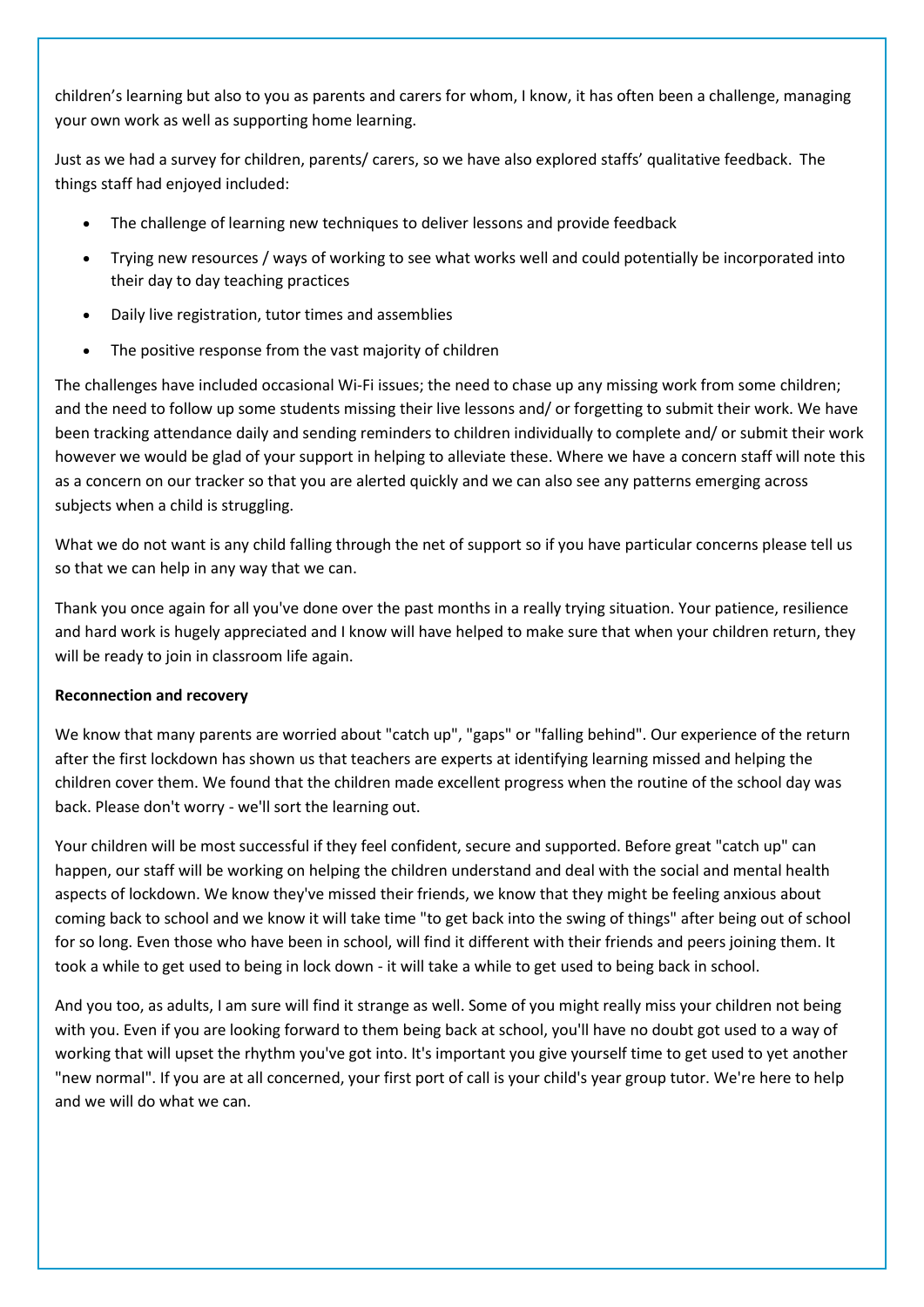children's learning but also to you as parents and carers for whom, I know, it has often been a challenge, managing your own work as well as supporting home learning.

Just as we had a survey for children, parents/ carers, so we have also explored staffs' qualitative feedback. The things staff had enjoyed included:

- The challenge of learning new techniques to deliver lessons and provide feedback
- Trying new resources / ways of working to see what works well and could potentially be incorporated into their day to day teaching practices
- Daily live registration, tutor times and assemblies
- The positive response from the vast majority of children

The challenges have included occasional Wi-Fi issues; the need to chase up any missing work from some children; and the need to follow up some students missing their live lessons and/ or forgetting to submit their work. We have been tracking attendance daily and sending reminders to children individually to complete and/ or submit their work however we would be glad of your support in helping to alleviate these. Where we have a concern staff will note this as a concern on our tracker so that you are alerted quickly and we can also see any patterns emerging across subjects when a child is struggling.

What we do not want is any child falling through the net of support so if you have particular concerns please tell us so that we can help in any way that we can.

Thank you once again for all you've done over the past months in a really trying situation. Your patience, resilience and hard work is hugely appreciated and I know will have helped to make sure that when your children return, they will be ready to join in classroom life again.

# **Reconnection and recovery**

We know that many parents are worried about "catch up", "gaps" or "falling behind". Our experience of the return after the first lockdown has shown us that teachers are experts at identifying learning missed and helping the children cover them. We found that the children made excellent progress when the routine of the school day was back. Please don't worry - we'll sort the learning out.

Your children will be most successful if they feel confident, secure and supported. Before great "catch up" can happen, our staff will be working on helping the children understand and deal with the social and mental health aspects of lockdown. We know they've missed their friends, we know that they might be feeling anxious about coming back to school and we know it will take time "to get back into the swing of things" after being out of school for so long. Even those who have been in school, will find it different with their friends and peers joining them. It took a while to get used to being in lock down - it will take a while to get used to being back in school.

And you too, as adults, I am sure will find it strange as well. Some of you might really miss your children not being with you. Even if you are looking forward to them being back at school, you'll have no doubt got used to a way of working that will upset the rhythm you've got into. It's important you give yourself time to get used to yet another "new normal". If you are at all concerned, your first port of call is your child's year group tutor. We're here to help and we will do what we can.